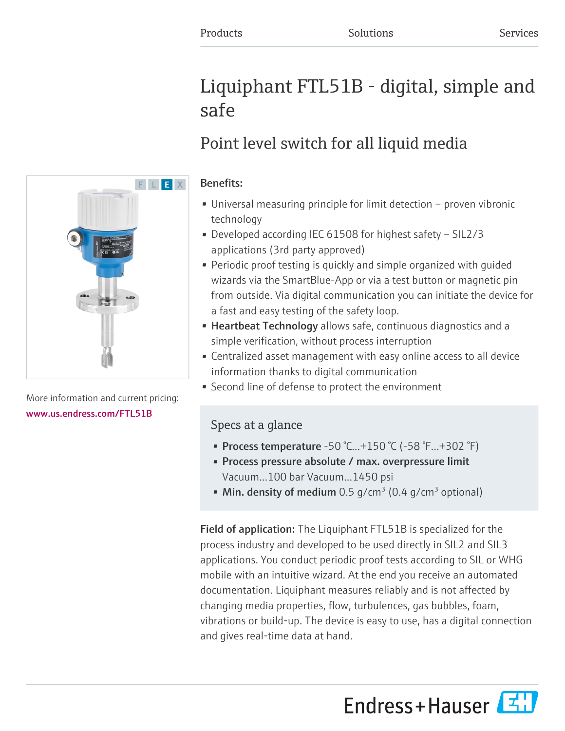# Liquiphant FTL51B - digital, simple and safe

# Point level switch for all liquid media

# Benefits:

- Universal measuring principle for limit detection proven vibronic technology
- Developed according IEC 61508 for highest safety SIL2/3 applications (3rd party approved)
- Periodic proof testing is quickly and simple organized with guided wizards via the SmartBlue-App or via a test button or magnetic pin from outside. Via digital communication you can initiate the device for a fast and easy testing of the safety loop.
- Heartbeat Technology allows safe, continuous diagnostics and a simple verification, without process interruption
- Centralized asset management with easy online access to all device information thanks to digital communication
- Second line of defense to protect the environment

# Specs at a glance

- Process temperature -50 °C...+150 °C (-58 °F...+302 °F)
- Process pressure absolute / max. overpressure limit Vacuum...100 bar Vacuum...1450 psi
- Min. density of medium 0.5 g/cm<sup>3</sup> (0.4 g/cm<sup>3</sup> optional)

Field of application: The Liquiphant FTL51B is specialized for the process industry and developed to be used directly in SIL2 and SIL3 applications. You conduct periodic proof tests according to SIL or WHG mobile with an intuitive wizard. At the end you receive an automated documentation. Liquiphant measures reliably and is not affected by changing media properties, flow, turbulences, gas bubbles, foam, vibrations or build-up. The device is easy to use, has a digital connection and gives real-time data at hand.





More information and current pricing: [www.us.endress.com/FTL51B](https://www.us.endress.com/FTL51B)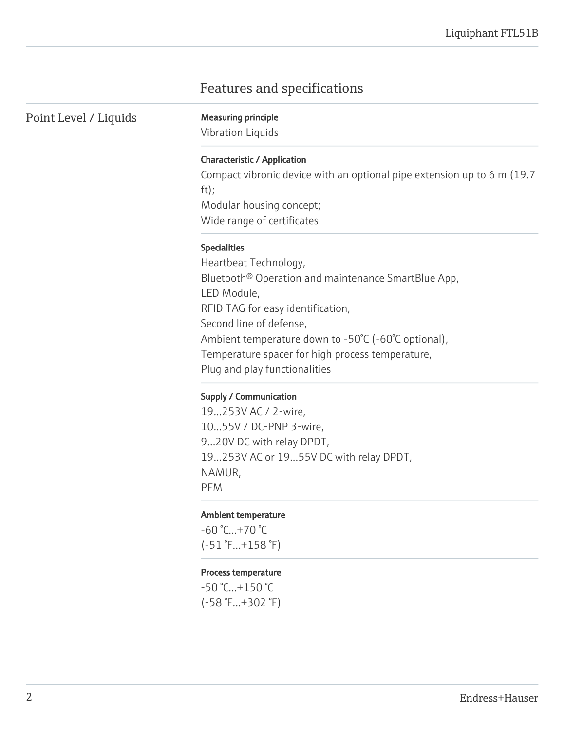# Features and specifications

Point Level / Liquids Measuring principle

Vibration Liquids

#### Characteristic / Application

Compact vibronic device with an optional pipe extension up to 6 m (19.7 ft); Modular housing concept; Wide range of certificates

#### Specialities

Heartbeat Technology, Bluetooth® Operation and maintenance SmartBlue App, LED Module, RFID TAG for easy identification, Second line of defense, Ambient temperature down to -50°C (-60°C optional), Temperature spacer for high process temperature, Plug and play functionalities

#### Supply / Communication

19...253V AC / 2-wire, 10...55V / DC-PNP 3-wire, 9...20V DC with relay DPDT, 19...253V AC or 19...55V DC with relay DPDT, NAMUR, PFM

#### Ambient temperature

 $-60 °C...+70 °C$ (-51 °F...+158 °F)

#### Process temperature

-50 °C...+150 °C (-58 °F...+302 °F)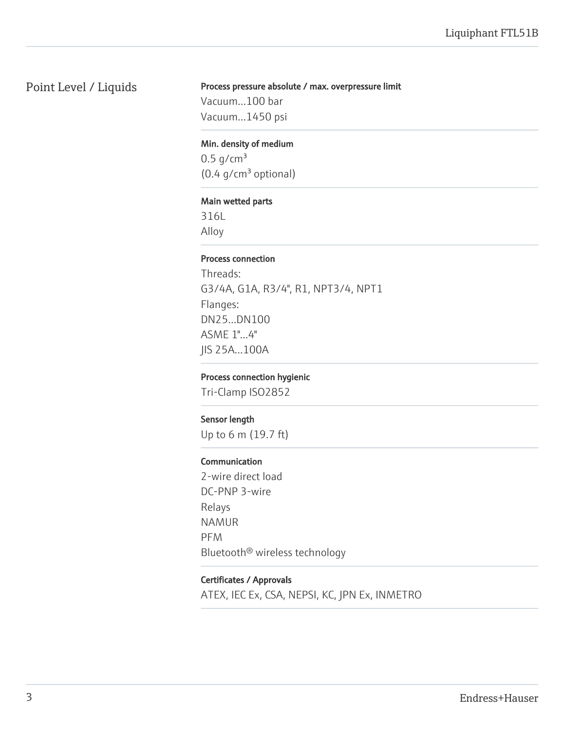# Point Level / Liquids

## Process pressure absolute / max. overpressure limit

Vacuum...100 bar Vacuum...1450 psi

# Min. density of medium

 $0.5$  g/cm<sup>3</sup>  $(0.4 g/cm<sup>3</sup>$  optional)

# Main wetted parts

316L Alloy

## Process connection

Threads: G3/4A, G1A, R3/4", R1, NPT3/4, NPT1 Flanges: DN25...DN100 ASME 1"...4" JIS 25A...100A

## Process connection hygienic

Tri-Clamp ISO2852

# Sensor length

Up to 6 m (19.7 ft)

# Communication

2-wire direct load DC-PNP 3-wire Relays NAMUR PFM Bluetooth® wireless technology

# Certificates / Approvals

ATEX, IEC Ex, CSA, NEPSI, KC, JPN Ex, INMETRO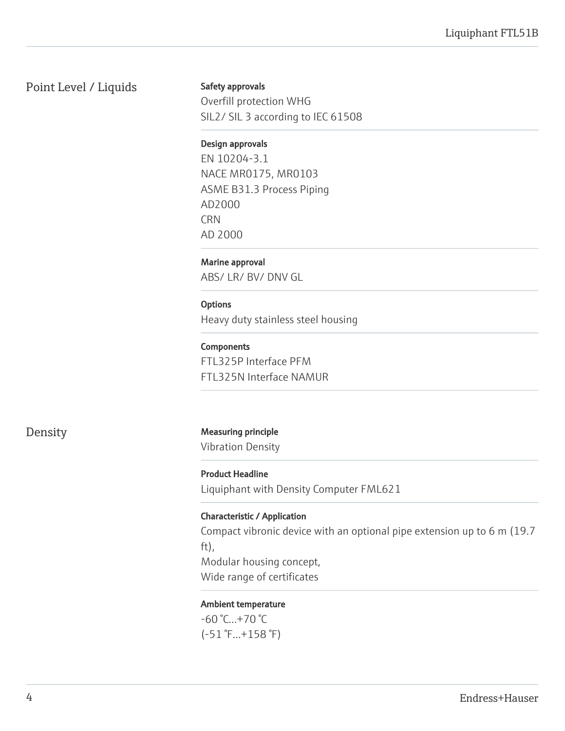# Point Level / Liquids

Safety approvals

Overfill protection WHG SIL2/ SIL 3 according to IEC 61508

# Design approvals

EN 10204-3.1 NACE MR0175, MR0103 ASME B31.3 Process Piping AD2000 **CRN** AD 2000

# Marine approval

ABS/ LR/ BV/ DNV GL

# **Options**

Heavy duty stainless steel housing

# **Components**

FTL325P Interface PFM FTL325N Interface NAMUR

Density Measuring principle

Vibration Density

Product Headline Liquiphant with Density Computer FML621

# Characteristic / Application

Compact vibronic device with an optional pipe extension up to 6 m (19.7 ft), Modular housing concept, Wide range of certificates

# Ambient temperature

-60 °C...+70 °C (-51 °F...+158 °F)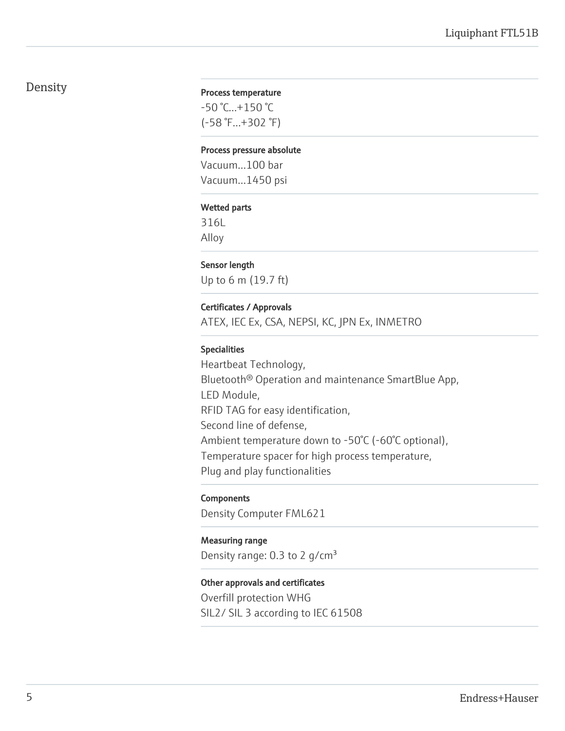# Density

#### Process temperature

-50 °C...+150 °C (-58 °F...+302 °F)

#### Process pressure absolute

Vacuum...100 bar Vacuum...1450 psi

#### Wetted parts

316L Alloy

#### Sensor length

Up to 6 m (19.7 ft)

#### Certificates / Approvals

ATEX, IEC Ex, CSA, NEPSI, KC, JPN Ex, INMETRO

#### Specialities

Heartbeat Technology, Bluetooth® Operation and maintenance SmartBlue App, LED Module, RFID TAG for easy identification, Second line of defense, Ambient temperature down to -50°C (-60°C optional), Temperature spacer for high process temperature, Plug and play functionalities

#### **Components**

Density Computer FML621

#### Measuring range

Density range:  $0.3$  to 2 g/cm<sup>3</sup>

#### Other approvals and certificates

Overfill protection WHG SIL2/ SIL 3 according to IEC 61508